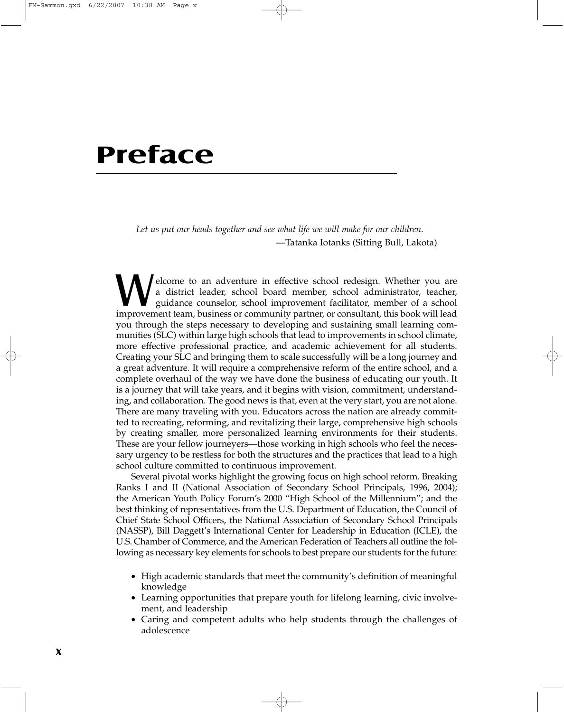## **Preface**

*Let us put our heads together and see what life we will make for our children.* —Tatanka Iotanks (Sitting Bull, Lakota)

Welcome to an adventure in effective school redesign. Whether you are<br>a district leader, school board member, school administrator, teacher,<br>guidance counselor, school improvement facilitator, member of a school<br>improvemen a district leader, school board member, school administrator, teacher, guidance counselor, school improvement facilitator, member of a school improvement team, business or community partner, or consultant, this book will lead you through the steps necessary to developing and sustaining small learning communities (SLC) within large high schools that lead to improvements in school climate, more effective professional practice, and academic achievement for all students. Creating your SLC and bringing them to scale successfully will be a long journey and a great adventure. It will require a comprehensive reform of the entire school, and a complete overhaul of the way we have done the business of educating our youth. It is a journey that will take years, and it begins with vision, commitment, understanding, and collaboration. The good news is that, even at the very start, you are not alone. There are many traveling with you. Educators across the nation are already committed to recreating, reforming, and revitalizing their large, comprehensive high schools by creating smaller, more personalized learning environments for their students. These are your fellow journeyers—those working in high schools who feel the necessary urgency to be restless for both the structures and the practices that lead to a high school culture committed to continuous improvement.

Several pivotal works highlight the growing focus on high school reform. Breaking Ranks I and II (National Association of Secondary School Principals, 1996, 2004); the American Youth Policy Forum's 2000 "High School of the Millennium"; and the best thinking of representatives from the U.S. Department of Education, the Council of Chief State School Officers, the National Association of Secondary School Principals (NASSP), Bill Daggett's International Center for Leadership in Education (ICLE), the U.S. Chamber of Commerce, and the American Federation of Teachers all outline the following as necessary key elements for schools to best prepare our students for the future:

- High academic standards that meet the community's definition of meaningful knowledge
- Learning opportunities that prepare youth for lifelong learning, civic involvement, and leadership
- Caring and competent adults who help students through the challenges of adolescence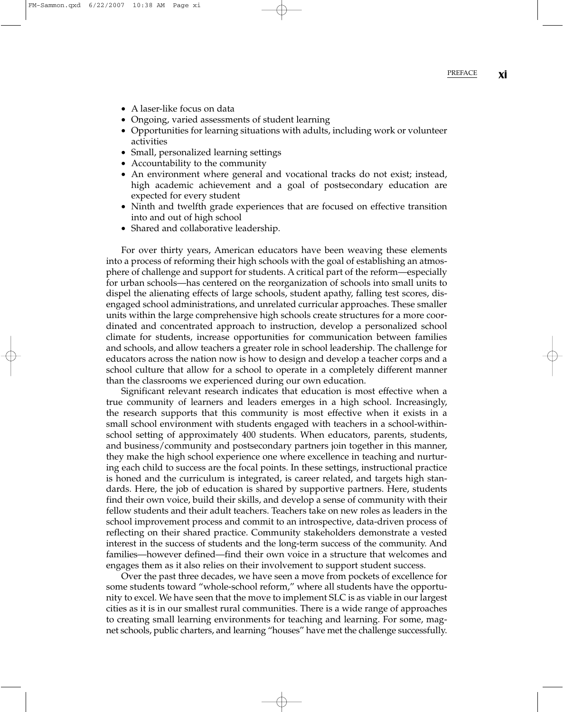- A laser-like focus on data
- Ongoing, varied assessments of student learning
- Opportunities for learning situations with adults, including work or volunteer activities
- Small, personalized learning settings
- Accountability to the community
- An environment where general and vocational tracks do not exist; instead, high academic achievement and a goal of postsecondary education are expected for every student
- Ninth and twelfth grade experiences that are focused on effective transition into and out of high school
- Shared and collaborative leadership.

For over thirty years, American educators have been weaving these elements into a process of reforming their high schools with the goal of establishing an atmosphere of challenge and support for students. A critical part of the reform—especially for urban schools—has centered on the reorganization of schools into small units to dispel the alienating effects of large schools, student apathy, falling test scores, disengaged school administrations, and unrelated curricular approaches. These smaller units within the large comprehensive high schools create structures for a more coordinated and concentrated approach to instruction, develop a personalized school climate for students, increase opportunities for communication between families and schools, and allow teachers a greater role in school leadership. The challenge for educators across the nation now is how to design and develop a teacher corps and a school culture that allow for a school to operate in a completely different manner than the classrooms we experienced during our own education.

Significant relevant research indicates that education is most effective when a true community of learners and leaders emerges in a high school. Increasingly, the research supports that this community is most effective when it exists in a small school environment with students engaged with teachers in a school-withinschool setting of approximately 400 students. When educators, parents, students, and business/community and postsecondary partners join together in this manner, they make the high school experience one where excellence in teaching and nurturing each child to success are the focal points. In these settings, instructional practice is honed and the curriculum is integrated, is career related, and targets high standards. Here, the job of education is shared by supportive partners. Here, students find their own voice, build their skills, and develop a sense of community with their fellow students and their adult teachers. Teachers take on new roles as leaders in the school improvement process and commit to an introspective, data-driven process of reflecting on their shared practice. Community stakeholders demonstrate a vested interest in the success of students and the long-term success of the community. And families—however defined—find their own voice in a structure that welcomes and engages them as it also relies on their involvement to support student success.

Over the past three decades, we have seen a move from pockets of excellence for some students toward "whole-school reform," where all students have the opportunity to excel. We have seen that the move to implement SLC is as viable in our largest cities as it is in our smallest rural communities. There is a wide range of approaches to creating small learning environments for teaching and learning. For some, magnet schools, public charters, and learning "houses" have met the challenge successfully.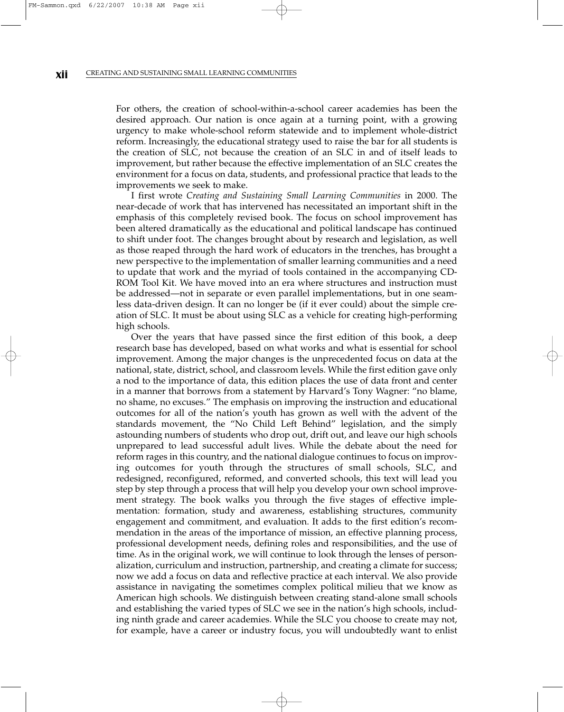For others, the creation of school-within-a-school career academies has been the desired approach. Our nation is once again at a turning point, with a growing urgency to make whole-school reform statewide and to implement whole-district reform. Increasingly, the educational strategy used to raise the bar for all students is the creation of SLC, not because the creation of an SLC in and of itself leads to improvement, but rather because the effective implementation of an SLC creates the environment for a focus on data, students, and professional practice that leads to the improvements we seek to make.

I first wrote *Creating and Sustaining Small Learning Communities* in 2000. The near-decade of work that has intervened has necessitated an important shift in the emphasis of this completely revised book. The focus on school improvement has been altered dramatically as the educational and political landscape has continued to shift under foot. The changes brought about by research and legislation, as well as those reaped through the hard work of educators in the trenches, has brought a new perspective to the implementation of smaller learning communities and a need to update that work and the myriad of tools contained in the accompanying CD-ROM Tool Kit. We have moved into an era where structures and instruction must be addressed—not in separate or even parallel implementations, but in one seamless data-driven design. It can no longer be (if it ever could) about the simple creation of SLC. It must be about using SLC as a vehicle for creating high-performing high schools.

Over the years that have passed since the first edition of this book, a deep research base has developed, based on what works and what is essential for school improvement. Among the major changes is the unprecedented focus on data at the national, state, district, school, and classroom levels. While the first edition gave only a nod to the importance of data, this edition places the use of data front and center in a manner that borrows from a statement by Harvard's Tony Wagner: "no blame, no shame, no excuses." The emphasis on improving the instruction and educational outcomes for all of the nation's youth has grown as well with the advent of the standards movement, the "No Child Left Behind" legislation, and the simply astounding numbers of students who drop out, drift out, and leave our high schools unprepared to lead successful adult lives. While the debate about the need for reform rages in this country, and the national dialogue continues to focus on improving outcomes for youth through the structures of small schools, SLC, and redesigned, reconfigured, reformed, and converted schools, this text will lead you step by step through a process that will help you develop your own school improvement strategy. The book walks you through the five stages of effective implementation: formation, study and awareness, establishing structures, community engagement and commitment, and evaluation. It adds to the first edition's recommendation in the areas of the importance of mission, an effective planning process, professional development needs, defining roles and responsibilities, and the use of time. As in the original work, we will continue to look through the lenses of personalization, curriculum and instruction, partnership, and creating a climate for success; now we add a focus on data and reflective practice at each interval. We also provide assistance in navigating the sometimes complex political milieu that we know as American high schools. We distinguish between creating stand-alone small schools and establishing the varied types of SLC we see in the nation's high schools, including ninth grade and career academies. While the SLC you choose to create may not, for example, have a career or industry focus, you will undoubtedly want to enlist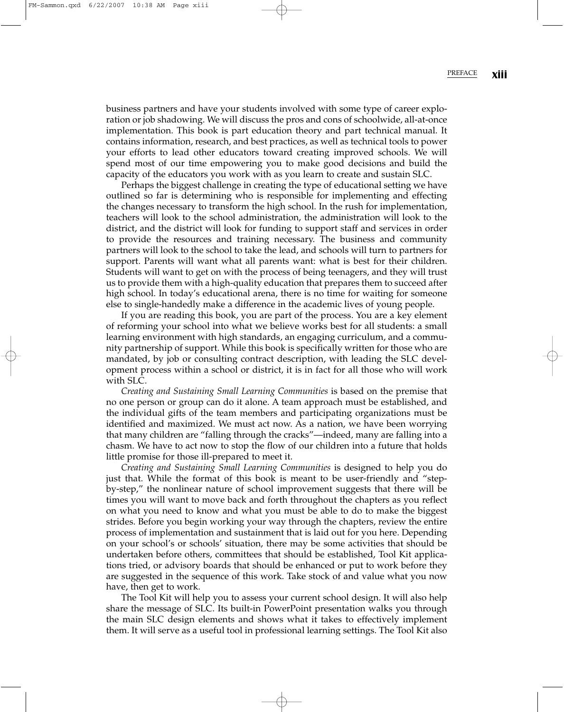business partners and have your students involved with some type of career exploration or job shadowing. We will discuss the pros and cons of schoolwide, all-at-once implementation. This book is part education theory and part technical manual. It contains information, research, and best practices, as well as technical tools to power your efforts to lead other educators toward creating improved schools. We will spend most of our time empowering you to make good decisions and build the capacity of the educators you work with as you learn to create and sustain SLC.

Perhaps the biggest challenge in creating the type of educational setting we have outlined so far is determining who is responsible for implementing and effecting the changes necessary to transform the high school. In the rush for implementation, teachers will look to the school administration, the administration will look to the district, and the district will look for funding to support staff and services in order to provide the resources and training necessary. The business and community partners will look to the school to take the lead, and schools will turn to partners for support. Parents will want what all parents want: what is best for their children. Students will want to get on with the process of being teenagers, and they will trust us to provide them with a high-quality education that prepares them to succeed after high school. In today's educational arena, there is no time for waiting for someone else to single-handedly make a difference in the academic lives of young people.

If you are reading this book, you are part of the process. You are a key element of reforming your school into what we believe works best for all students: a small learning environment with high standards, an engaging curriculum, and a community partnership of support. While this book is specifically written for those who are mandated, by job or consulting contract description, with leading the SLC development process within a school or district, it is in fact for all those who will work with SLC.

*Creating and Sustaining Small Learning Communities* is based on the premise that no one person or group can do it alone. A team approach must be established, and the individual gifts of the team members and participating organizations must be identified and maximized. We must act now. As a nation, we have been worrying that many children are "falling through the cracks"—indeed, many are falling into a chasm. We have to act now to stop the flow of our children into a future that holds little promise for those ill-prepared to meet it.

*Creating and Sustaining Small Learning Communities* is designed to help you do just that. While the format of this book is meant to be user-friendly and "stepby-step," the nonlinear nature of school improvement suggests that there will be times you will want to move back and forth throughout the chapters as you reflect on what you need to know and what you must be able to do to make the biggest strides. Before you begin working your way through the chapters, review the entire process of implementation and sustainment that is laid out for you here. Depending on your school's or schools' situation, there may be some activities that should be undertaken before others, committees that should be established, Tool Kit applications tried, or advisory boards that should be enhanced or put to work before they are suggested in the sequence of this work. Take stock of and value what you now have, then get to work.

The Tool Kit will help you to assess your current school design. It will also help share the message of SLC. Its built-in PowerPoint presentation walks you through the main SLC design elements and shows what it takes to effectively implement them. It will serve as a useful tool in professional learning settings. The Tool Kit also